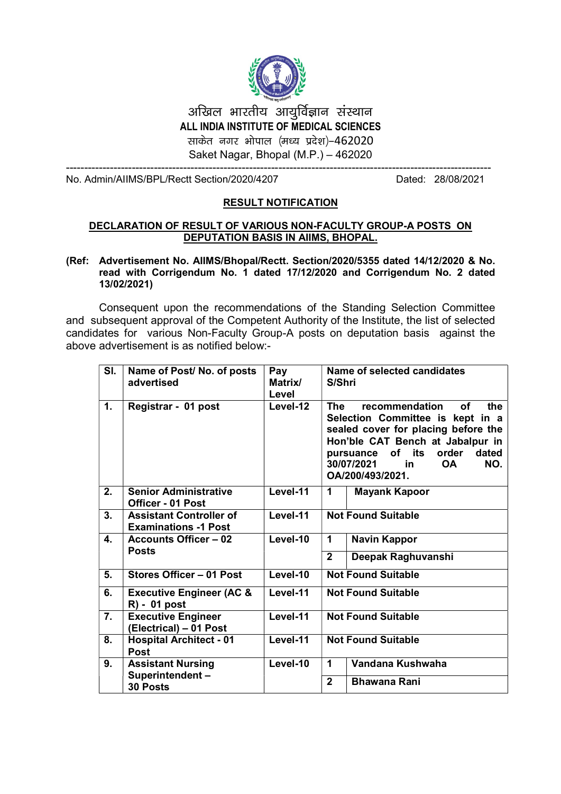

## अखिल भारतीय आयर्विज्ञान संस्थान ALL INDIA INSTITUTE OF MEDICAL SCIENCES साकेत नगर भोपाल (मध्य प्रदेश)-462020 Saket Nagar, Bhopal (M.P.) - 462020

No. Admin/AIIMS/BPL/Rectt Section/2020/4207

Dated: 28/08/2021

## **RESULT NOTIFICATION**

## DECLARATION OF RESULT OF VARIOUS NON-FACULTY GROUP-A POSTS ON **DEPUTATION BASIS IN AIIMS, BHOPAL.**

## (Ref: Advertisement No. AllMS/Bhopal/Rectt. Section/2020/5355 dated 14/12/2020 & No. read with Corrigendum No. 1 dated 17/12/2020 and Corrigendum No. 2 dated 13/02/2021)

Consequent upon the recommendations of the Standing Selection Committee and subsequent approval of the Competent Authority of the Institute, the list of selected candidates for various Non-Faculty Group-A posts on deputation basis against the above advertisement is as notified below:-

| SI.              | Name of Post/No. of posts<br>advertised                       | Pay<br>Matrix/<br>Level | Name of selected candidates<br>S/Shri                                                                                                                                                                                                                         |
|------------------|---------------------------------------------------------------|-------------------------|---------------------------------------------------------------------------------------------------------------------------------------------------------------------------------------------------------------------------------------------------------------|
| $\mathbf{1}$ .   | Registrar - 01 post                                           | Level-12                | recommendation<br>οf<br><b>The</b><br>the<br>Selection Committee is kept in a<br>sealed cover for placing before the<br>Hon'ble CAT Bench at Jabalpur in<br>of its<br>order<br>dated<br>pursuance<br>30/07/2021<br>NO.<br><b>OA</b><br>in<br>OA/200/493/2021. |
| 2.               | <b>Senior Administrative</b><br><b>Officer - 01 Post</b>      | Level-11                | <b>Mayank Kapoor</b><br>1                                                                                                                                                                                                                                     |
| $\overline{3}$ . | <b>Assistant Controller of</b><br><b>Examinations -1 Post</b> | Level-11                | <b>Not Found Suitable</b>                                                                                                                                                                                                                                     |
| 4.               | <b>Accounts Officer - 02</b>                                  | Level-10                | <b>Navin Kappor</b><br>1                                                                                                                                                                                                                                      |
|                  | <b>Posts</b>                                                  |                         | $\mathbf{2}$<br>Deepak Raghuvanshi                                                                                                                                                                                                                            |
| 5.               | Stores Officer - 01 Post                                      | Level-10                | <b>Not Found Suitable</b>                                                                                                                                                                                                                                     |
| 6.               | <b>Executive Engineer (AC &amp;</b><br>R) - 01 post           | Level-11                | <b>Not Found Suitable</b>                                                                                                                                                                                                                                     |
| 7.               | <b>Executive Engineer</b><br>(Electrical) - 01 Post           | Level-11                | <b>Not Found Suitable</b>                                                                                                                                                                                                                                     |
| 8.               | <b>Hospital Architect - 01</b><br><b>Post</b>                 | Level-11                | <b>Not Found Suitable</b>                                                                                                                                                                                                                                     |
| 9.               | <b>Assistant Nursing</b>                                      | Level-10                | Vandana Kushwaha<br>1                                                                                                                                                                                                                                         |
|                  | Superintendent-<br>30 Posts                                   |                         | $\overline{2}$<br><b>Bhawana Rani</b>                                                                                                                                                                                                                         |